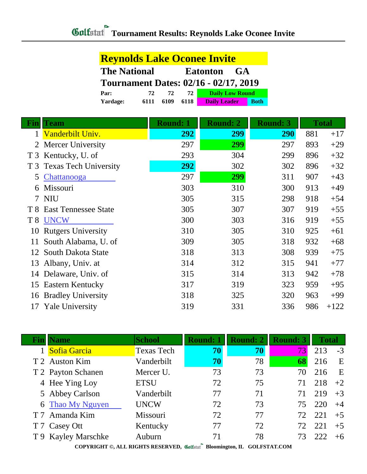|                | <b>Reynolds Lake Oconee Invite</b>                  |      |                 |                        |                 |     |              |
|----------------|-----------------------------------------------------|------|-----------------|------------------------|-----------------|-----|--------------|
|                | <b>The National</b><br><b>GA</b><br><b>Eatonton</b> |      |                 |                        |                 |     |              |
|                | <b>Tournament Dates: 02/16 - 02/17, 2019</b>        |      |                 |                        |                 |     |              |
|                | Par:                                                | 72   | 72<br>72        | <b>Daily Low Round</b> |                 |     |              |
|                | Yardage:                                            | 6111 | 6109<br>6118    | <b>Daily Leader</b>    | <b>Both</b>     |     |              |
| <b>Fin</b>     | Team                                                |      | <b>Round: 1</b> | <b>Round: 2</b>        | <b>Round: 3</b> |     | <b>Total</b> |
| 1              | Vanderbilt Univ.                                    |      | 292             | 299                    | <b>290</b>      | 881 | $+17$        |
| 2              | <b>Mercer University</b>                            |      | 297             | 299                    | 297             | 893 | $+29$        |
| T <sub>3</sub> | Kentucky, U. of                                     |      | 293             | 304                    | 299             | 896 | $+32$        |
| T <sub>3</sub> | <b>Texas Tech University</b>                        |      | 292             | 302                    | 302             | 896 | $+32$        |
| 5              | Chattanooga                                         |      | 297             | 299                    | 311             | 907 | $+43$        |
| 6              | Missouri                                            |      | 303             | 310                    | 300             | 913 | $+49$        |
|                | 7 NIU                                               |      | 305             | 315                    | 298             | 918 | $+54$        |
| T 8            | <b>East Tennessee State</b>                         |      | 305             | 307                    | 307             | 919 | $+55$        |
| T <sup>8</sup> | <b>UNCW</b>                                         |      | 300             | 303                    | 316             | 919 | $+55$        |
| 10             | <b>Rutgers University</b>                           |      | 310             | 305                    | 310             | 925 | $+61$        |
| 11             | South Alabama, U. of                                |      | 309             | 305                    | 318             | 932 | $+68$        |
| 12             | South Dakota State                                  |      | 318             | 313                    | 308             | 939 | $+75$        |
| 13             | Albany, Univ. at                                    |      | 314             | 312                    | 315             | 941 | $+77$        |
| 14             | Delaware, Univ. of                                  |      | 315             | 314                    | 313             | 942 | $+78$        |
| 15             | <b>Eastern Kentucky</b>                             |      | 317             | 319                    | 323             | 959 | $+95$        |
| 16             | <b>Bradley University</b>                           |      | 318             | 325                    | 320             | 963 | $+99$        |
| 17             | <b>Yale University</b>                              |      | 319             | 331                    | 336             | 986 | $+122$       |

| Fin | <b>Name</b>         | <b>School</b>     | <b>Round: 1</b> | <b>Round: 2</b> | <b>Round: 3</b> | Total |      |
|-----|---------------------|-------------------|-----------------|-----------------|-----------------|-------|------|
|     | Sofia Garcia        | <b>Texas Tech</b> | 70              | 70              | 73              | 213   | $-3$ |
|     | T 2 Auston Kim      | Vanderbilt        | 70              | 78              | 68              | 216   | E    |
|     | T 2 Payton Schanen  | Mercer U.         | 73              | 73              | 70              | 216   | E    |
|     | 4 Hee Ying Loy      | <b>ETSU</b>       | 72              | 75              | 71              | 218   | $+2$ |
|     | 5 Abbey Carlson     | Vanderbilt        | 77              | 71              | 71              | 219   | $+3$ |
|     | 6 Thao My Nguyen    | <b>UNCW</b>       | 72              | 73              | 75              | 220   | $+4$ |
|     | T 7 Amanda Kim      | Missouri          | 72              | 77              | 72.             | 221   | $+5$ |
|     | T 7 Casey Ott       | Kentucky          | 77              | 72              | 72              | 221   | $+5$ |
|     | T 9 Kayley Marschke | Auburn            | 71              | 78              |                 |       | $+6$ |
|     |                     |                   |                 |                 |                 |       |      |

**COPYRIGHT ©, ALL RIGHTS RESERVED, Bloomington, IL GOLFSTAT.COM**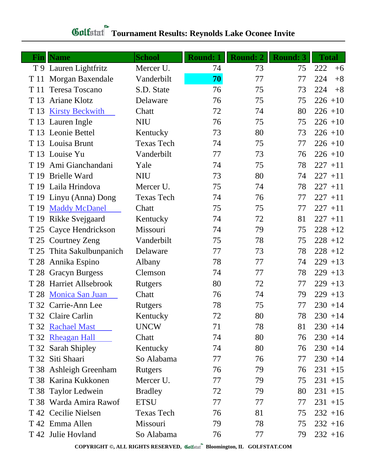| Fin  | <b>Name</b>               | <b>School</b>     | <b>Round: 1</b> | <b>Round: 2</b> | <b>Round: 3</b> | <b>Total</b> |
|------|---------------------------|-------------------|-----------------|-----------------|-----------------|--------------|
|      | T 9 Lauren Lightfritz     | Mercer U.         | 74              | 73              | 75              | 222<br>$+6$  |
| T 11 | Morgan Baxendale          | Vanderbilt        | 70              | 77              | 77              | 224<br>$+8$  |
| T 11 | Teresa Toscano            | S.D. State        | 76              | 75              | 73              | 224<br>$+8$  |
| T 13 | <b>Ariane Klotz</b>       | Delaware          | 76              | 75              | 75              | $226 + 10$   |
| T 13 | <b>Kirsty Beckwith</b>    | Chatt             | 72              | 74              | 80              | $226 + 10$   |
|      | T 13 Lauren Ingle         | <b>NIU</b>        | 76              | 75              | 75              | $226 + 10$   |
|      | T 13 Leonie Bettel        | Kentucky          | 73              | 80              | 73              | $226 + 10$   |
|      | T 13 Louisa Brunt         | <b>Texas Tech</b> | 74              | 75              | 77              | $226 + 10$   |
|      | T 13 Louise Yu            | Vanderbilt        | 77              | 73              | 76              | $226 + 10$   |
|      | T 19 Ami Gianchandani     | Yale              | 74              | 75              | 78              | $227 + 11$   |
|      | T 19 Brielle Ward         | <b>NIU</b>        | 73              | 80              | 74              | $227 + 11$   |
|      | T 19 Laila Hrindova       | Mercer U.         | 75              | 74              | 78              | $227 + 11$   |
|      | T 19 Linyu (Anna) Dong    | <b>Texas Tech</b> | 74              | 76              | 77              | $227 + 11$   |
| T 19 | <b>Maddy McDanel</b>      | Chatt             | 75              | 75              | 77              | $227 + 11$   |
| T 19 | Rikke Svejgaard           | Kentucky          | 74              | 72              | 81              | $227 + 11$   |
| T 25 | Cayce Hendrickson         | Missouri          | 74              | 79              | 75              | $228 + 12$   |
| T 25 | <b>Courtney Zeng</b>      | Vanderbilt        | 75              | 78              | 75              | $228 + 12$   |
|      | T 25 Thita Sakulbunpanich | Delaware          | 77              | 73              | 78              | $228 + 12$   |
|      | T 28 Annika Espino        | Albany            | 78              | 77              | 74              | $229 + 13$   |
| T 28 | <b>Gracyn Burgess</b>     | Clemson           | 74              | 77              | 78              | $229 + 13$   |
|      | T 28 Harriet Allsebrook   | Rutgers           | 80              | 72              | 77              | $229 + 13$   |
|      | T 28 Monica San Juan      | Chatt             | 76              | 74              | 79              | $229 + 13$   |
|      | T 32 Carrie-Ann Lee       | <b>Rutgers</b>    | 78              | 75              | 77              | $230 + 14$   |
|      | T 32 Claire Carlin        | Kentucky          | 72              | 80              | 78              | $230 + 14$   |
|      | T 32 Rachael Mast         | <b>UNCW</b>       | 71              | 78              | 81              | $230 + 14$   |
|      | T 32 Rheagan Hall         | Chatt             | 74              | 80              | 76              | $230 + 14$   |
|      | T 32 Sarah Shipley        | Kentucky          | 74              | 80              | 76              | $230 + 14$   |
|      | T 32 Siti Shaari          | So Alabama        | 77              | 76              | 77              | $230 + 14$   |
|      | T 38 Ashleigh Greenham    | Rutgers           | 76              | 79              | 76              | $231 + 15$   |
|      | T 38 Karina Kukkonen      | Mercer U.         | 77              | 79              | 75              | $231 + 15$   |
|      | T 38 Taylor Ledwein       | <b>Bradley</b>    | 72              | 79              | 80              | $231 + 15$   |
|      | T 38 Warda Amira Rawof    | <b>ETSU</b>       | 77              | 77              | 77              | $231 + 15$   |
|      | T 42 Cecilie Nielsen      | <b>Texas Tech</b> | 76              | 81              | 75              | $232 + 16$   |
|      | T 42 Emma Allen           | Missouri          | 79              | 78              | 75              | $232 + 16$   |
|      | T 42 Julie Hovland        | So Alabama        | 76              | 77              | 79              | $232 + 16$   |

# **Gulfatat Tournament Results: Reynolds Lake Oconee Invite**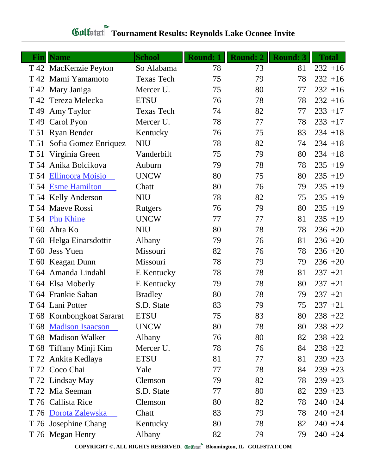#### **Fin Name School Round: 1 Round: 2 Round: 3 Total** T 42 MacKenzie Peyton So Alabama 78 73 81 232 +16 T 42 Mami Yamamoto Texas Tech 75 79 78 232 +16 T 42 Mary Janiga Mercer U. 25 80 77 232 +16 T 42 Tereza Melecka ETSU 76 78 78 232 +16 T 49 Amy Taylor Texas Tech 74 82 77 233 +17 T 49 Carol Pyon Mercer U. 78 77 78 233 +17 T 51 Ryan Bender Kentucky 76 75 83 234 +18 T 51 Sofia Gomez Enriquez NIU 78 82 74 234 +18 T 51 Virginia Green Vanderbilt 75 79 80 234 +18 T 54 Anika Bolcikova Auburn 79 78 78 235 +19 T 54 [Ellinoora Moisio](http://www.golfstat.com/ultimate/W073web/W073index.htm?p=A) UNCW 80 75 80 235 +19 T 54 [Esme Hamilton](http://www.golfstat.com/ultimate/W731web/W731index.htm?p=H) Chatt 80 76 79 235 +19 T 54 Kelly Anderson NIU 78 82 75 235 +19 T 54 Maeve Rossi Rutgers 76 79 80 235 +19 T 54 [Phu Khine](http://www.golfstat.com/ultimate/W073web/W073index.htm?p=H) UNCW 77 77 81 235 +19 T 60 Ahra Ko NIU 80 78 78 236 +20 T 60 Helga Einarsdottir Albany 79 76 81 236 +20 T 60 Jess Yuen Missouri 82 76 78 236 +20 T 60 Keagan Dunn Missouri 78 79 79 236 +20 T 64 Amanda Lindahl E Kentucky 78 78 81 237 +21 T 64 Elsa Moberly E Kentucky 79 78 80 237 +21 T 64 Frankie Saban Bradley 80 78 79 237 +21 T 64 Lani Potter S.D. State 83 79 75 237 +21 T 68 Kornbongkoat Sararat ETSU 75 83 80 238 +22 T 68 [Madison Isaacson](http://www.golfstat.com/ultimate/W073web/W073index.htm?p=F) UNCW 80 78 80 238 +22 T 68 Madison Walker Albany 76 80 82 238 +22 T 68 Tiffany Minji Kim Mercer U. 78 76 84 238 +22 T 72 Ankita Kedlaya ETSU 81 77 81 239 +23 T 72 Coco Chai Yale 77 78 84 239 +23 T 72 Lindsay May Clemson 79 82 78 239 +23 T 72 Mia Seeman S.D. State 77 80 82 239 +23 T 76 Callista Rice Clemson 80 82 78 240 +24 T 76 [Dorota Zalewska](http://www.golfstat.com/ultimate/W731web/W731index.htm?p=F) Chatt 83 79 78 240 +24 T 76 Josephine Chang Kentucky 80 78 82 240 +24 T 76 Megan Henry Albany 82 79 79 240 +24

### **Tournament Results: Reynolds Lake Oconee Invite**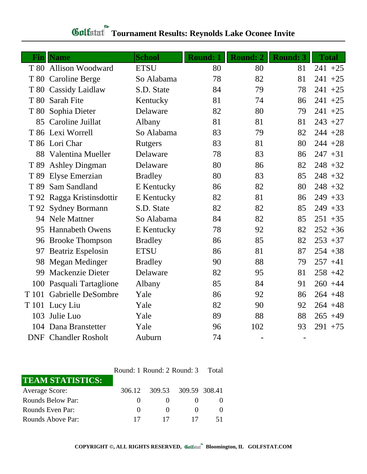|       | <b>Fin</b> Name             | <b>School</b>  | <b>Round: 1</b> | <b>Round: 2</b> | <b>Round: 3</b> | <b>Total</b> |
|-------|-----------------------------|----------------|-----------------|-----------------|-----------------|--------------|
|       | T 80 Allison Woodward       | <b>ETSU</b>    | 80              | 80              | 81              | $241 + 25$   |
|       | T 80 Caroline Berge         | So Alabama     | 78              | 82              | 81              | $241 + 25$   |
|       | T 80 Cassidy Laidlaw        | S.D. State     | 84              | 79              | 78              | $241 + 25$   |
| T 80  | <b>Sarah Fite</b>           | Kentucky       | 81              | 74              | 86              | $241 + 25$   |
| T 80  | Sophia Dieter               | Delaware       | 82              | 80              | 79              | $241 + 25$   |
|       | 85 Caroline Juillat         | Albany         | 81              | 81              | 81              | $243 + 27$   |
|       | T 86 Lexi Worrell           | So Alabama     | 83              | 79              | 82              | $244 + 28$   |
|       | T 86 Lori Char              | <b>Rutgers</b> | 83              | 81              | 80              | $244 + 28$   |
|       | 88 Valentina Mueller        | Delaware       | 78              | 83              | 86              | $247 + 31$   |
| T 89  | <b>Ashley Dingman</b>       | Delaware       | 80              | 86              | 82              | $248 + 32$   |
| T 89  | Elyse Emerzian              | <b>Bradley</b> | 80              | 83              | 85              | $248 + 32$   |
| T 89  | Sam Sandland                | E Kentucky     | 86              | 82              | 80              | $248 + 32$   |
|       | T 92 Ragga Kristinsdottir   | E Kentucky     | 82              | 81              | 86              | $249 + 33$   |
| T 92  | <b>Sydney Bormann</b>       | S.D. State     | 82              | 82              | 85              | $249 + 33$   |
|       | 94 Nele Mattner             | So Alabama     | 84              | 82              | 85              | $251 + 35$   |
| 95    | <b>Hannabeth Owens</b>      | E Kentucky     | 78              | 92              | 82              | $252 + 36$   |
| 96    | <b>Brooke Thompson</b>      | <b>Bradley</b> | 86              | 85              | 82              | $253 + 37$   |
| 97    | <b>Beatriz Espelosin</b>    | <b>ETSU</b>    | 86              | 81              | 87              | $254 + 38$   |
| 98    | Megan Medinger              | <b>Bradley</b> | 90              | 88              | 79              | $257 + 41$   |
| 99    | Mackenzie Dieter            | Delaware       | 82              | 95              | 81              | $258 + 42$   |
| 100   | Pasquali Tartaglione        | Albany         | 85              | 84              | 91              | $260 + 44$   |
| T 101 | <b>Gabrielle DeSombre</b>   | Yale           | 86              | 92              | 86              | $264 + 48$   |
|       | T 101 Lucy Liu              | Yale           | 82              | 90              | 92              | $264 + 48$   |
| 103   | Julie Luo                   | Yale           | 89              | 88              | 88              | $265 + 49$   |
|       | 104 Dana Branstetter        | Yale           | 96              | 102             | 93              | $291 + 75$   |
|       | <b>DNF</b> Chandler Rosholt | Auburn         | 74              |                 |                 |              |

# **Gulfatat Tournament Results: Reynolds Lake Oconee Invite**

|                         |              | Round: 1 Round: 2 Round: 3 Total |  |  |  |  |
|-------------------------|--------------|----------------------------------|--|--|--|--|
| <b>TEAM STATISTICS:</b> |              |                                  |  |  |  |  |
| <b>Average Score:</b>   | 306.12       | 309.53 309.59 308.41             |  |  |  |  |
| Rounds Below Par:       |              | $\mathbf{\Omega}$                |  |  |  |  |
| Rounds Even Par:        | $\mathbf{0}$ | $\theta$                         |  |  |  |  |
| Rounds Above Par:       |              | 17                               |  |  |  |  |